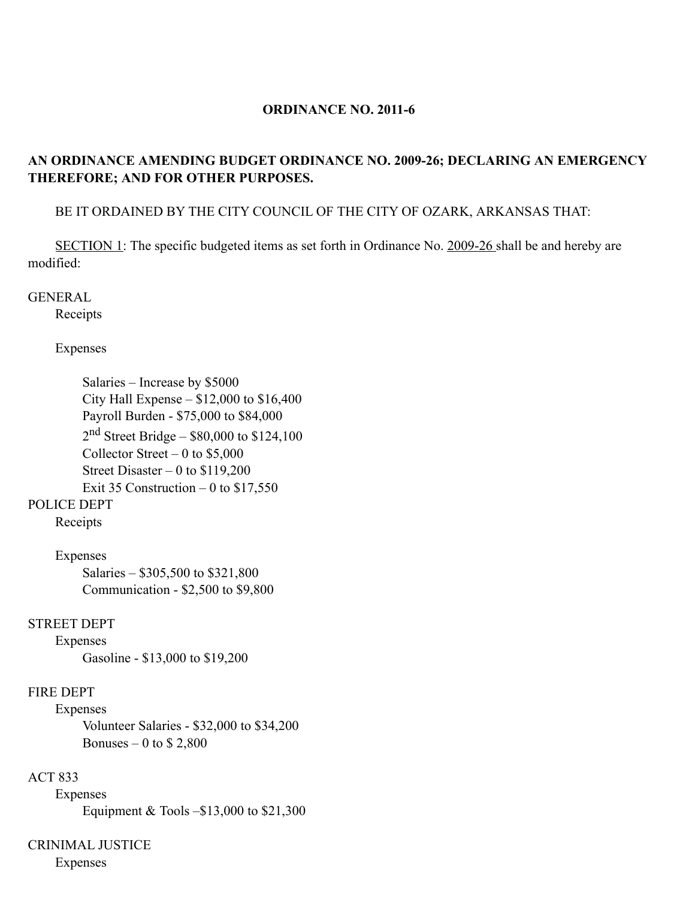### **ORDINANCE NO. 2011-6**

## **AN ORDINANCE AMENDING BUDGET ORDINANCE NO. 2009-26; DECLARING AN EMERGENCY THEREFORE; AND FOR OTHER PURPOSES.**

BE IT ORDAINED BY THE CITY COUNCIL OF THE CITY OF OZARK, ARKANSAS THAT:

SECTION 1: The specific budgeted items as set forth in Ordinance No. 2009-26 shall be and hereby are modified:

### GENERAL

Receipts

#### Expenses

Salaries – Increase by \$5000 City Hall Expense – \$12,000 to \$16,400 Payroll Burden - \$75,000 to \$84,000 2nd Street Bridge – \$80,000 to \$124,100 Collector Street – 0 to  $$5,000$ Street Disaster  $-0$  to \$119,200 Exit 35 Construction  $-0$  to \$17,550

# POLICE DEPT

Receipts

Expenses

Salaries – \$305,500 to \$321,800 Communication - \$2,500 to \$9,800

### STREET DEPT

Expenses

Gasoline - \$13,000 to \$19,200

### FIRE DEPT

Expenses Volunteer Salaries - \$32,000 to \$34,200 Bonuses – 0 to  $$2,800$ 

### ACT 833

Expenses Equipment & Tools –\$13,000 to \$21,300

# CRINIMAL JUSTICE

Expenses